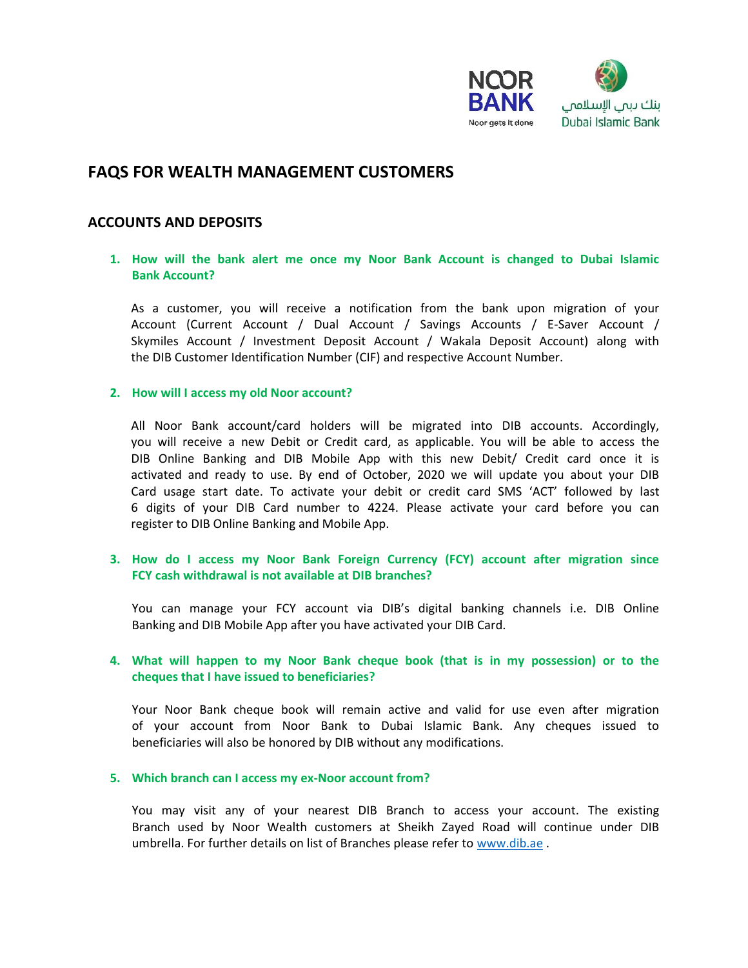

# **FAQS FOR WEALTH MANAGEMENT CUSTOMERS**

# **ACCOUNTS AND DEPOSITS**

# **1. How will the bank alert me once my Noor Bank Account is changed to Dubai Islamic Bank Account?**

As a customer, you will receive a notification from the bank upon migration of your Account (Current Account / Dual Account / Savings Accounts / E-Saver Account / Skymiles Account / Investment Deposit Account / Wakala Deposit Account) along with the DIB Customer Identification Number (CIF) and respective Account Number.

### **2. How will I access my old Noor account?**

All Noor Bank account/card holders will be migrated into DIB accounts. Accordingly, you will receive a new Debit or Credit card, as applicable. You will be able to access the DIB Online Banking and DIB Mobile App with this new Debit/ Credit card once it is activated and ready to use. By end of October, 2020 we will update you about your DIB Card usage start date. To activate your debit or credit card SMS 'ACT' followed by last 6 digits of your DIB Card number to 4224. Please activate your card before you can register to DIB Online Banking and Mobile App.

# **3. How do I access my Noor Bank Foreign Currency (FCY) account after migration since FCY cash withdrawal is not available at DIB branches?**

You can manage your FCY account via DIB's digital banking channels i.e. DIB Online Banking and DIB Mobile App after you have activated your DIB Card.

# **4. What will happen to my Noor Bank cheque book (that is in my possession) or to the cheques that I have issued to beneficiaries?**

Your Noor Bank cheque book will remain active and valid for use even after migration of your account from Noor Bank to Dubai Islamic Bank. Any cheques issued to beneficiaries will also be honored by DIB without any modifications.

### **5. Which branch can I access my ex-Noor account from?**

You may visit any of your nearest DIB Branch to access your account. The existing Branch used by Noor Wealth customers at Sheikh Zayed Road will continue under DIB umbrella. For further details on list of Branches please refer t[o www.dib.ae](http://www.dib.ae/) .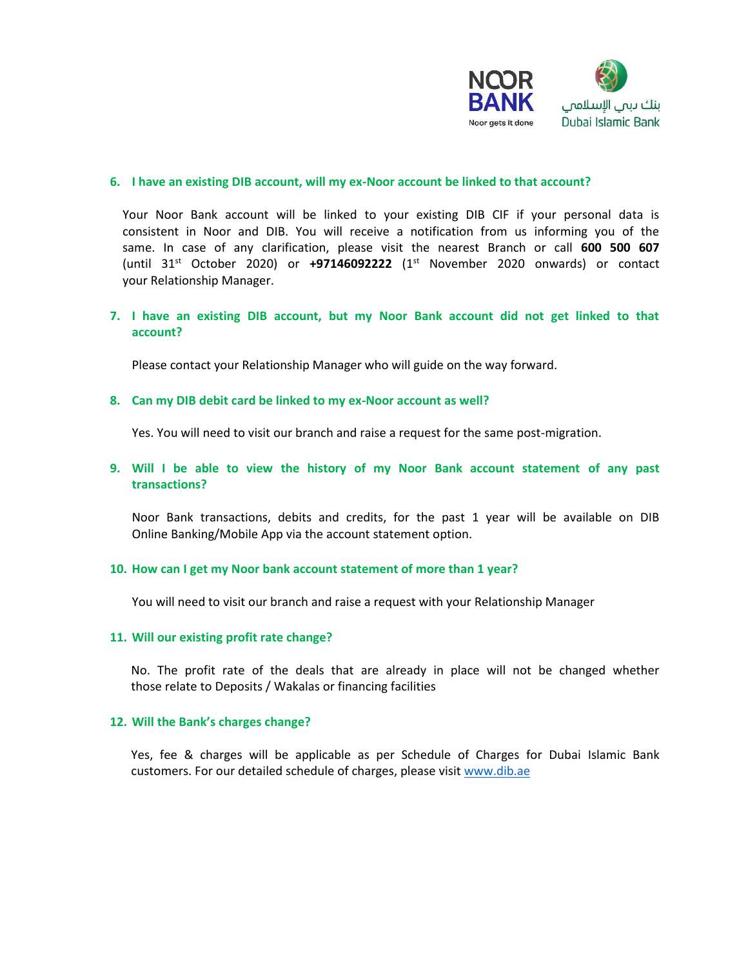

### **6. I have an existing DIB account, will my ex-Noor account be linked to that account?**

Your Noor Bank account will be linked to your existing DIB CIF if your personal data is consistent in Noor and DIB. You will receive a notification from us informing you of the same. In case of any clarification, please visit the nearest Branch or call **600 500 607** (until 31st October 2020) or **+97146092222** (1st November 2020 onwards) or contact your Relationship Manager.

# **7. I have an existing DIB account, but my Noor Bank account did not get linked to that account?**

Please contact your Relationship Manager who will guide on the way forward.

### **8. Can my DIB debit card be linked to my ex-Noor account as well?**

Yes. You will need to visit our branch and raise a request for the same post-migration.

### **9. Will I be able to view the history of my Noor Bank account statement of any past transactions?**

Noor Bank transactions, debits and credits, for the past 1 year will be available on DIB Online Banking/Mobile App via the account statement option.

### **10. How can I get my Noor bank account statement of more than 1 year?**

You will need to visit our branch and raise a request with your Relationship Manager

### **11. Will our existing profit rate change?**

No. The profit rate of the deals that are already in place will not be changed whether those relate to Deposits / Wakalas or financing facilities

### **12. Will the Bank's charges change?**

Yes, fee & charges will be applicable as per Schedule of Charges for Dubai Islamic Bank customers. For our detailed schedule of charges, please visi[t www.dib.ae](http://www.dib.ae/)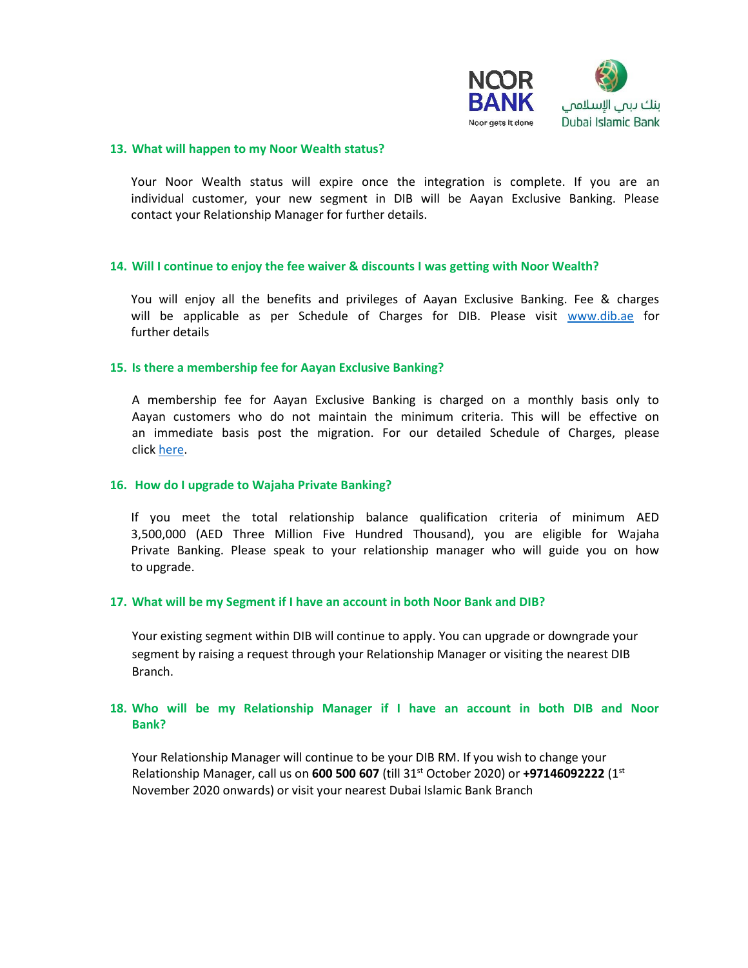

#### **13. What will happen to my Noor Wealth status?**

Your Noor Wealth status will expire once the integration is complete. If you are an individual customer, your new segment in DIB will be Aayan Exclusive Banking. Please contact your Relationship Manager for further details.

### **14. Will I continue to enjoy the fee waiver & discounts I was getting with Noor Wealth?**

You will enjoy all the benefits and privileges of Aayan Exclusive Banking. Fee & charges will be applicable as per Schedule of Charges for DIB. Please visit [www.dib.ae](http://www.dib.ae/) for further details

#### **15. Is there a membership fee for Aayan Exclusive Banking?**

A membership fee for Aayan Exclusive Banking is charged on a monthly basis only to Aayan customers who do not maintain the minimum criteria. This will be effective on an immediate basis post the migration. For our detailed Schedule of Charges, please click [here.](https://www.dib.ae/schedule-of-charges)

#### **16. How do I upgrade to Wajaha Private Banking?**

If you meet the total relationship balance qualification criteria of minimum AED 3,500,000 (AED Three Million Five Hundred Thousand), you are eligible for Wajaha Private Banking. Please speak to your relationship manager who will guide you on how to upgrade.

### **17. What will be my Segment if I have an account in both Noor Bank and DIB?**

Your existing segment within DIB will continue to apply. You can upgrade or downgrade your segment by raising a request through your Relationship Manager or visiting the nearest DIB Branch.

# **18. Who will be my Relationship Manager if I have an account in both DIB and Noor Bank?**

Your Relationship Manager will continue to be your DIB RM. If you wish to change your Relationship Manager, call us on **600 500 607** (till 31st October 2020) or **+97146092222** (1st November 2020 onwards) or visit your nearest Dubai Islamic Bank Branch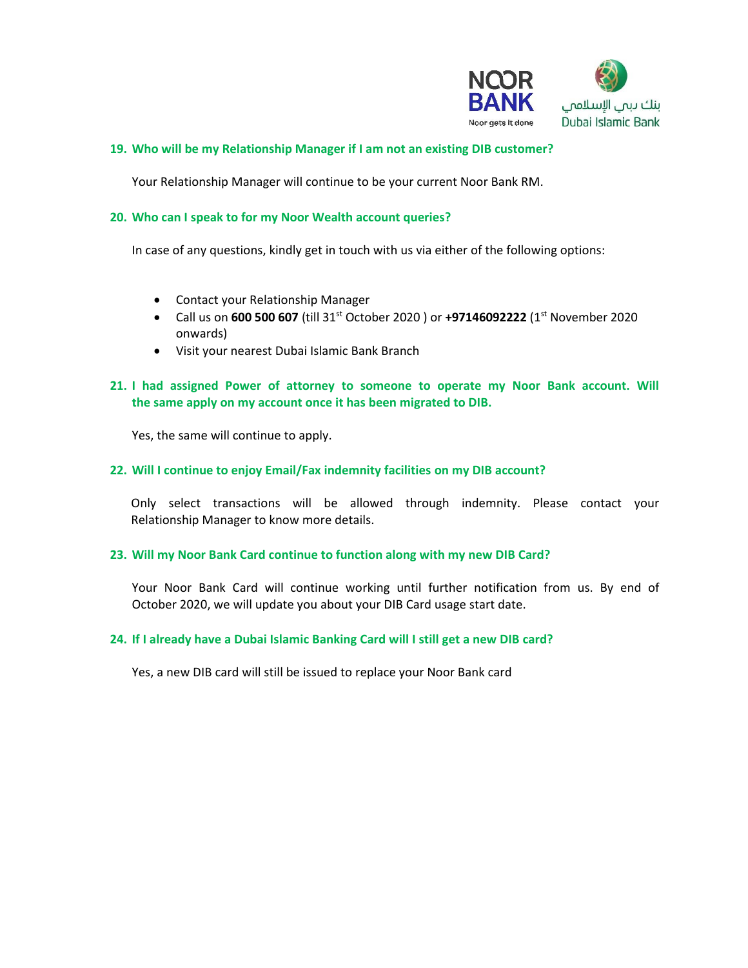

# **19. Who will be my Relationship Manager if I am not an existing DIB customer?**

Your Relationship Manager will continue to be your current Noor Bank RM.

# **20. Who can I speak to for my Noor Wealth account queries?**

In case of any questions, kindly get in touch with us via either of the following options:

- Contact your Relationship Manager
- Call us on **600 500 607** (till 31st October 2020 ) or **+97146092222** (1st November 2020 onwards)
- Visit your nearest Dubai Islamic Bank Branch

# **21. I had assigned Power of attorney to someone to operate my Noor Bank account. Will the same apply on my account once it has been migrated to DIB.**

Yes, the same will continue to apply.

# **22. Will I continue to enjoy Email/Fax indemnity facilities on my DIB account?**

Only select transactions will be allowed through indemnity. Please contact your Relationship Manager to know more details.

# **23. Will my Noor Bank Card continue to function along with my new DIB Card?**

Your Noor Bank Card will continue working until further notification from us. By end of October 2020, we will update you about your DIB Card usage start date.

# **24. If I already have a Dubai Islamic Banking Card will I still get a new DIB card?**

Yes, a new DIB card will still be issued to replace your Noor Bank card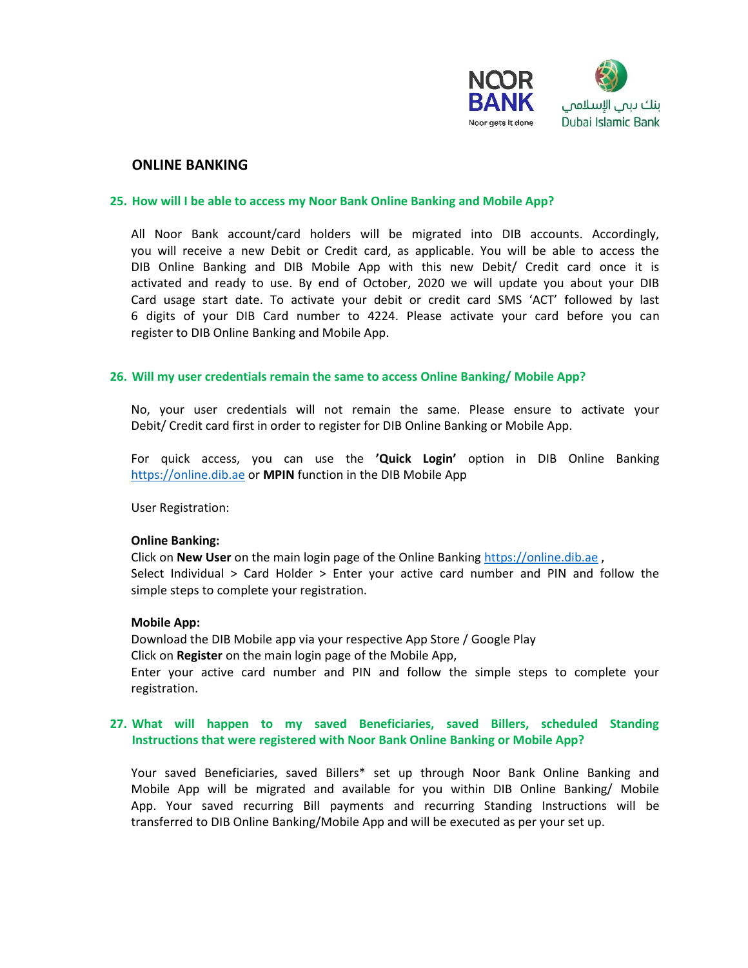

### **ONLINE BANKING**

### **25. How will I be able to access my Noor Bank Online Banking and Mobile App?**

All Noor Bank account/card holders will be migrated into DIB accounts. Accordingly, you will receive a new Debit or Credit card, as applicable. You will be able to access the DIB Online Banking and DIB Mobile App with this new Debit/ Credit card once it is activated and ready to use. By end of October, 2020 we will update you about your DIB Card usage start date. To activate your debit or credit card SMS 'ACT' followed by last 6 digits of your DIB Card number to 4224. Please activate your card before you can register to DIB Online Banking and Mobile App.

### **26. Will my user credentials remain the same to access Online Banking/ Mobile App?**

No, your user credentials will not remain the same. Please ensure to activate your Debit/ Credit card first in order to register for DIB Online Banking or Mobile App.

For quick access, you can use the **'Quick Login'** option in DIB Online Banking [https://online.dib.ae](https://online.dib.ae/) or **MPIN** function in the DIB Mobile App

User Registration:

### **Online Banking:**

Click on **New User** on the main login page of the Online Bankin[g https://online.dib.ae](https://online.dib.ae/) , Select Individual > Card Holder > Enter your active card number and PIN and follow the simple steps to complete your registration.

### **Mobile App:**

Download the DIB Mobile app via your respective App Store / Google Play Click on **Register** on the main login page of the Mobile App, Enter your active card number and PIN and follow the simple steps to complete your registration.

# **27. What will happen to my saved Beneficiaries, saved Billers, scheduled Standing Instructions that were registered with Noor Bank Online Banking or Mobile App?**

Your saved Beneficiaries, saved Billers\* set up through Noor Bank Online Banking and Mobile App will be migrated and available for you within DIB Online Banking/ Mobile App. Your saved recurring Bill payments and recurring Standing Instructions will be transferred to DIB Online Banking/Mobile App and will be executed as per your set up.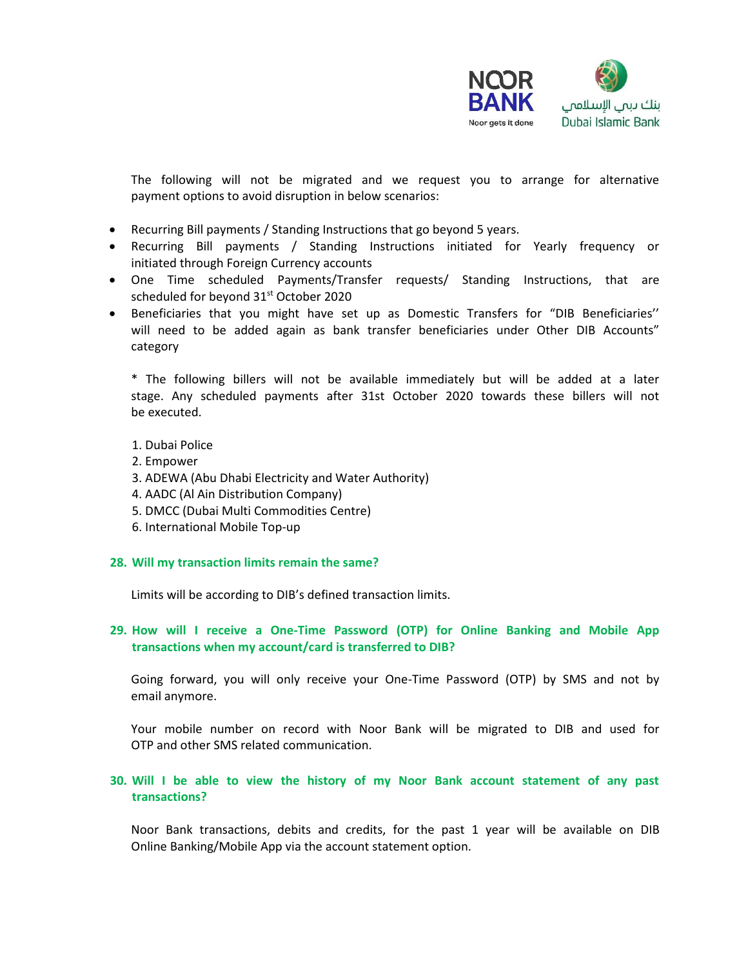

The following will not be migrated and we request you to arrange for alternative payment options to avoid disruption in below scenarios:

- Recurring Bill payments / Standing Instructions that go beyond 5 years.
- Recurring Bill payments / Standing Instructions initiated for Yearly frequency or initiated through Foreign Currency accounts
- One Time scheduled Payments/Transfer requests/ Standing Instructions, that are scheduled for beyond 31<sup>st</sup> October 2020
- Beneficiaries that you might have set up as Domestic Transfers for "DIB Beneficiaries'' will need to be added again as bank transfer beneficiaries under Other DIB Accounts" category

\* The following billers will not be available immediately but will be added at a later stage. Any scheduled payments after 31st October 2020 towards these billers will not be executed.

- 1. Dubai Police
- 2. Empower
- 3. ADEWA (Abu Dhabi Electricity and Water Authority)
- 4. AADC (Al Ain Distribution Company)
- 5. DMCC (Dubai Multi Commodities Centre)
- 6. International Mobile Top-up

### **28. Will my transaction limits remain the same?**

Limits will be according to DIB's defined transaction limits.

# **29. How will I receive a One-Time Password (OTP) for Online Banking and Mobile App transactions when my account/card is transferred to DIB?**

Going forward, you will only receive your One-Time Password (OTP) by SMS and not by email anymore.

Your mobile number on record with Noor Bank will be migrated to DIB and used for OTP and other SMS related communication.

# **30. Will I be able to view the history of my Noor Bank account statement of any past transactions?**

Noor Bank transactions, debits and credits, for the past 1 year will be available on DIB Online Banking/Mobile App via the account statement option.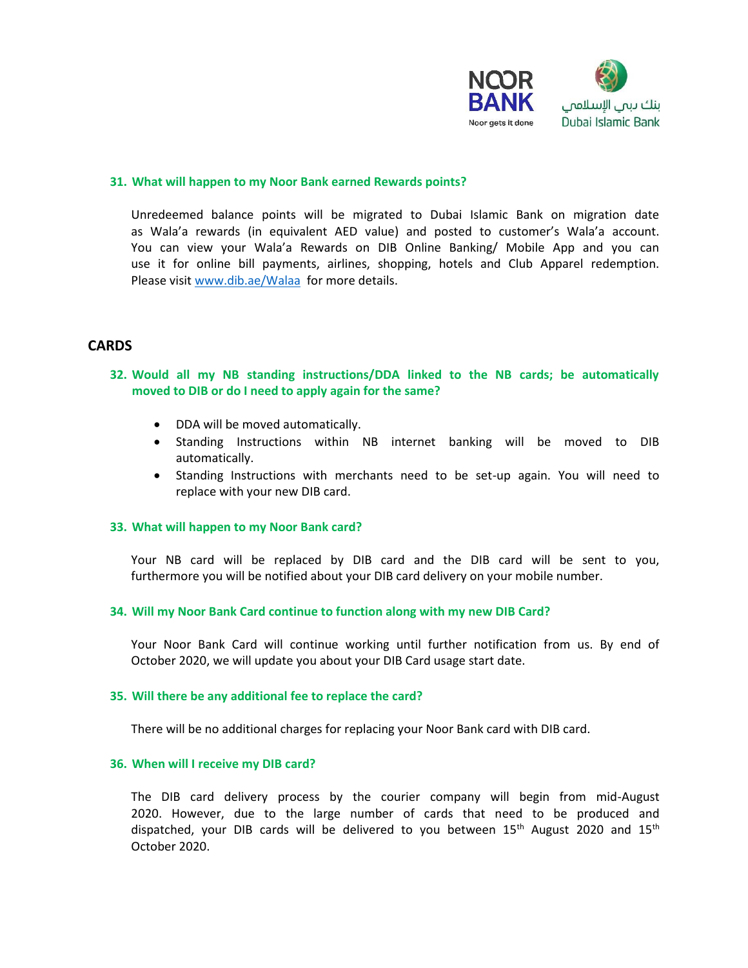

### **31. What will happen to my Noor Bank earned Rewards points?**

Unredeemed balance points will be migrated to Dubai Islamic Bank on migration date as Wala'a rewards (in equivalent AED value) and posted to customer's Wala'a account. You can view your Wala'a Rewards on DIB Online Banking/ Mobile App and you can use it for online bill payments, airlines, shopping, hotels and Club Apparel redemption. Please visit [www.dib.ae/Walaa](http://www.dib.ae/Walaa) for more details.

# **CARDS**

**32. Would all my NB standing instructions/DDA linked to the NB cards; be automatically moved to DIB or do I need to apply again for the same?** 

- DDA will be moved automatically.
- Standing Instructions within NB internet banking will be moved to DIB automatically.
- Standing Instructions with merchants need to be set-up again. You will need to replace with your new DIB card.

### **33. What will happen to my Noor Bank card?**

Your NB card will be replaced by DIB card and the DIB card will be sent to you, furthermore you will be notified about your DIB card delivery on your mobile number.

### **34. Will my Noor Bank Card continue to function along with my new DIB Card?**

Your Noor Bank Card will continue working until further notification from us. By end of October 2020, we will update you about your DIB Card usage start date.

### **35. Will there be any additional fee to replace the card?**

There will be no additional charges for replacing your Noor Bank card with DIB card.

### **36. When will I receive my DIB card?**

The DIB card delivery process by the courier company will begin from mid-August 2020. However, due to the large number of cards that need to be produced and dispatched, your DIB cards will be delivered to you between  $15<sup>th</sup>$  August 2020 and  $15<sup>th</sup>$ October 2020.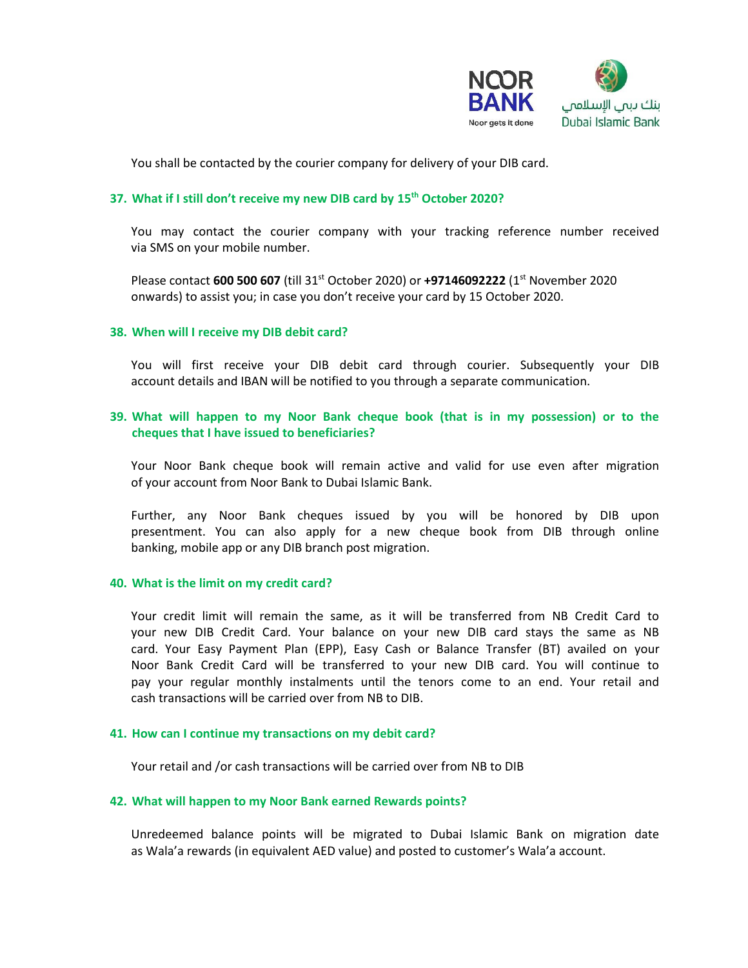

You shall be contacted by the courier company for delivery of your DIB card.

# **37. What if I still don't receive my new DIB card by 15th October 2020?**

You may contact the courier company with your tracking reference number received via SMS on your mobile number.

Please contact **600 500 607** (till 31st October 2020) or **+97146092222** (1st November 2020 onwards) to assist you; in case you don't receive your card by 15 October 2020.

### **38. When will I receive my DIB debit card?**

You will first receive your DIB debit card through courier. Subsequently your DIB account details and IBAN will be notified to you through a separate communication.

# **39. What will happen to my Noor Bank cheque book (that is in my possession) or to the cheques that I have issued to beneficiaries?**

Your Noor Bank cheque book will remain active and valid for use even after migration of your account from Noor Bank to Dubai Islamic Bank.

Further, any Noor Bank cheques issued by you will be honored by DIB upon presentment. You can also apply for a new cheque book from DIB through online banking, mobile app or any DIB branch post migration.

### **40. What is the limit on my credit card?**

Your credit limit will remain the same, as it will be transferred from NB Credit Card to your new DIB Credit Card. Your balance on your new DIB card stays the same as NB card. Your Easy Payment Plan (EPP), Easy Cash or Balance Transfer (BT) availed on your Noor Bank Credit Card will be transferred to your new DIB card. You will continue to pay your regular monthly instalments until the tenors come to an end. Your retail and cash transactions will be carried over from NB to DIB.

### **41. How can I continue my transactions on my debit card?**

Your retail and /or cash transactions will be carried over from NB to DIB

### **42. What will happen to my Noor Bank earned Rewards points?**

Unredeemed balance points will be migrated to Dubai Islamic Bank on migration date as Wala'a rewards (in equivalent AED value) and posted to customer's Wala'a account.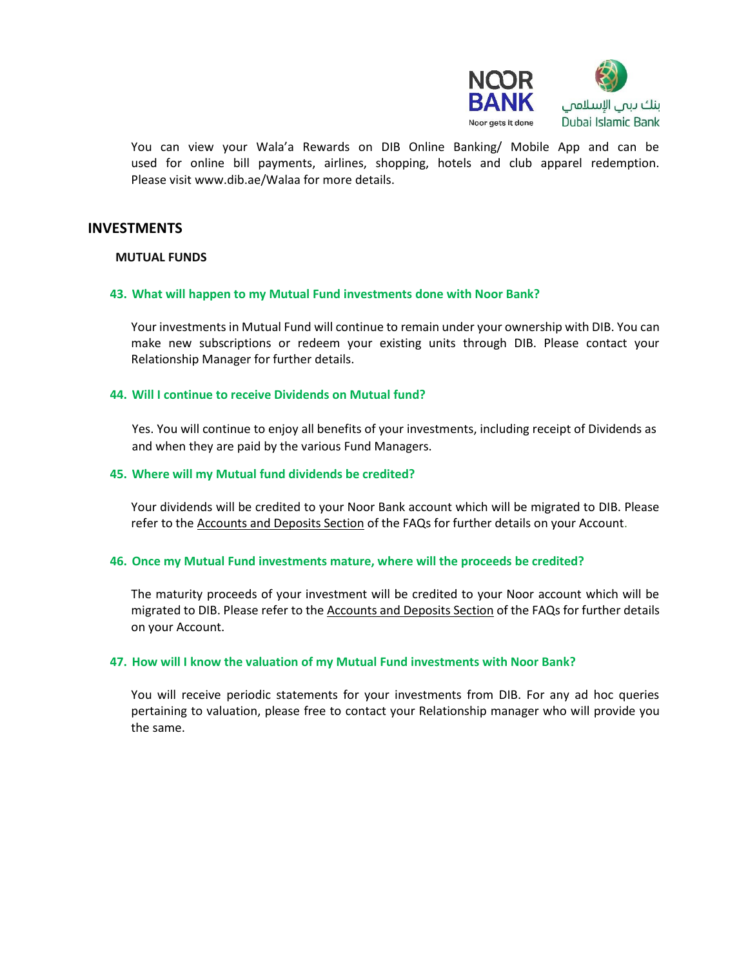

You can view your Wala'a Rewards on DIB Online Banking/ Mobile App and can be used for online bill payments, airlines, shopping, hotels and club apparel redemption. Please visit www.dib.ae/Walaa for more details.

# **INVESTMENTS**

### **MUTUAL FUNDS**

### **43. What will happen to my Mutual Fund investments done with Noor Bank?**

Your investments in Mutual Fund will continue to remain under your ownership with DIB. You can make new subscriptions or redeem your existing units through DIB. Please contact your Relationship Manager for further details.

### **44. Will I continue to receive Dividends on Mutual fund?**

Yes. You will continue to enjoy all benefits of your investments, including receipt of Dividends as and when they are paid by the various Fund Managers.

### **45. Where will my Mutual fund dividends be credited?**

Your dividends will be credited to your Noor Bank account which will be migrated to DIB. Please refer to the Accounts and Deposits Section of the FAQs for further details on your Account.

### **46. Once my Mutual Fund investments mature, where will the proceeds be credited?**

The maturity proceeds of your investment will be credited to your Noor account which will be migrated to DIB. Please refer to the Accounts and Deposits Section of the FAQs for further details on your Account.

### **47. How will I know the valuation of my Mutual Fund investments with Noor Bank?**

You will receive periodic statements for your investments from DIB. For any ad hoc queries pertaining to valuation, please free to contact your Relationship manager who will provide you the same.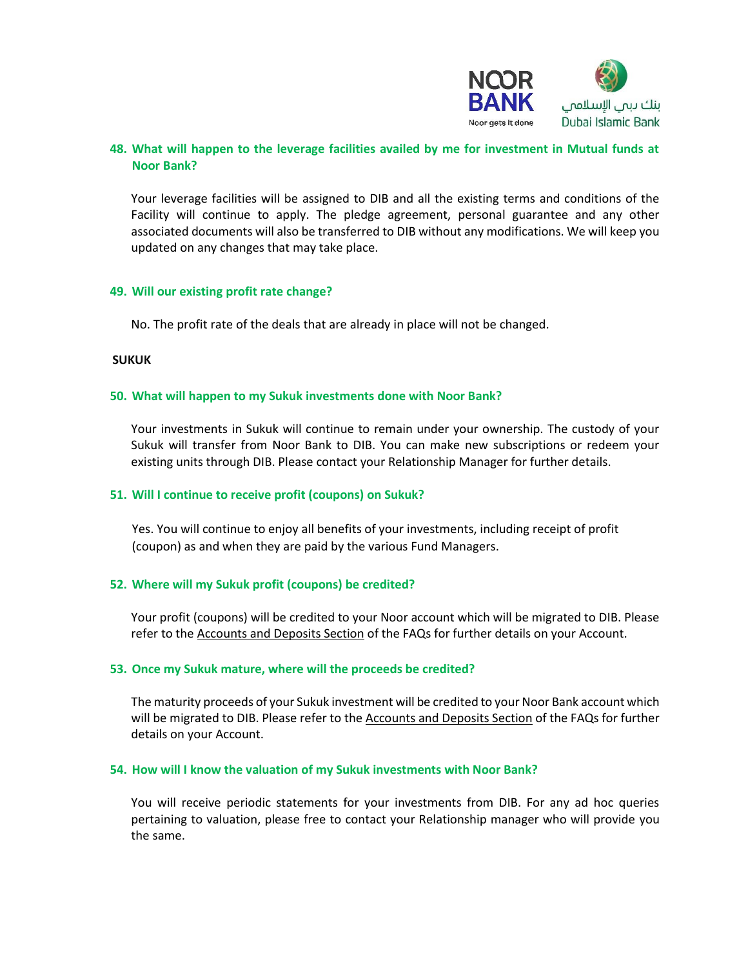

# **48. What will happen to the leverage facilities availed by me for investment in Mutual funds at Noor Bank?**

Your leverage facilities will be assigned to DIB and all the existing terms and conditions of the Facility will continue to apply. The pledge agreement, personal guarantee and any other associated documents will also be transferred to DIB without any modifications. We will keep you updated on any changes that may take place.

### **49. Will our existing profit rate change?**

No. The profit rate of the deals that are already in place will not be changed.

### **SUKUK**

### **50. What will happen to my Sukuk investments done with Noor Bank?**

Your investments in Sukuk will continue to remain under your ownership. The custody of your Sukuk will transfer from Noor Bank to DIB. You can make new subscriptions or redeem your existing units through DIB. Please contact your Relationship Manager for further details.

### **51. Will I continue to receive profit (coupons) on Sukuk?**

Yes. You will continue to enjoy all benefits of your investments, including receipt of profit (coupon) as and when they are paid by the various Fund Managers.

# **52. Where will my Sukuk profit (coupons) be credited?**

Your profit (coupons) will be credited to your Noor account which will be migrated to DIB. Please refer to the Accounts and Deposits Section of the FAQs for further details on your Account.

### **53. Once my Sukuk mature, where will the proceeds be credited?**

The maturity proceeds of your Sukuk investment will be credited to your Noor Bank account which will be migrated to DIB. Please refer to the Accounts and Deposits Section of the FAQs for further details on your Account.

### **54. How will I know the valuation of my Sukuk investments with Noor Bank?**

You will receive periodic statements for your investments from DIB. For any ad hoc queries pertaining to valuation, please free to contact your Relationship manager who will provide you the same.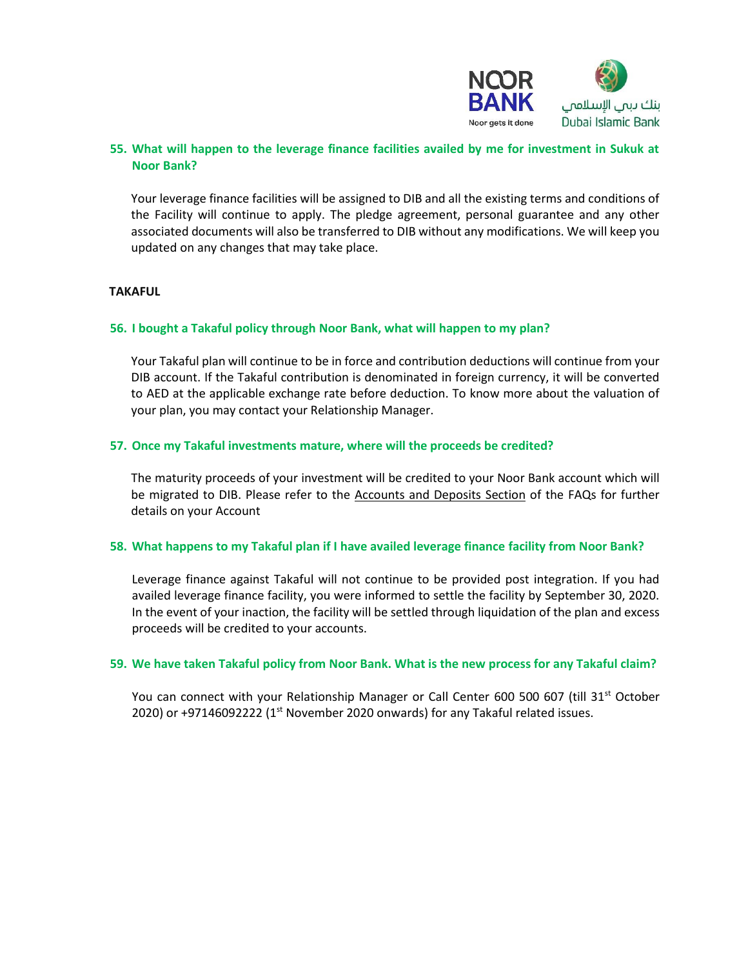

# **55. What will happen to the leverage finance facilities availed by me for investment in Sukuk at Noor Bank?**

Your leverage finance facilities will be assigned to DIB and all the existing terms and conditions of the Facility will continue to apply. The pledge agreement, personal guarantee and any other associated documents will also be transferred to DIB without any modifications. We will keep you updated on any changes that may take place.

# **TAKAFUL**

# **56. I bought a Takaful policy through Noor Bank, what will happen to my plan?**

Your Takaful plan will continue to be in force and contribution deductions will continue from your DIB account. If the Takaful contribution is denominated in foreign currency, it will be converted to AED at the applicable exchange rate before deduction. To know more about the valuation of your plan, you may contact your Relationship Manager.

### **57. Once my Takaful investments mature, where will the proceeds be credited?**

The maturity proceeds of your investment will be credited to your Noor Bank account which will be migrated to DIB. Please refer to the Accounts and Deposits Section of the FAQs for further details on your Account

### **58. What happens to my Takaful plan if I have availed leverage finance facility from Noor Bank?**

Leverage finance against Takaful will not continue to be provided post integration. If you had availed leverage finance facility, you were informed to settle the facility by September 30, 2020. In the event of your inaction, the facility will be settled through liquidation of the plan and excess proceeds will be credited to your accounts.

### **59. We have taken Takaful policy from Noor Bank. What is the new process for any Takaful claim?**

You can connect with your Relationship Manager or Call Center 600 500 607 (till 31<sup>st</sup> October 2020) or +97146092222 ( $1<sup>st</sup>$  November 2020 onwards) for any Takaful related issues.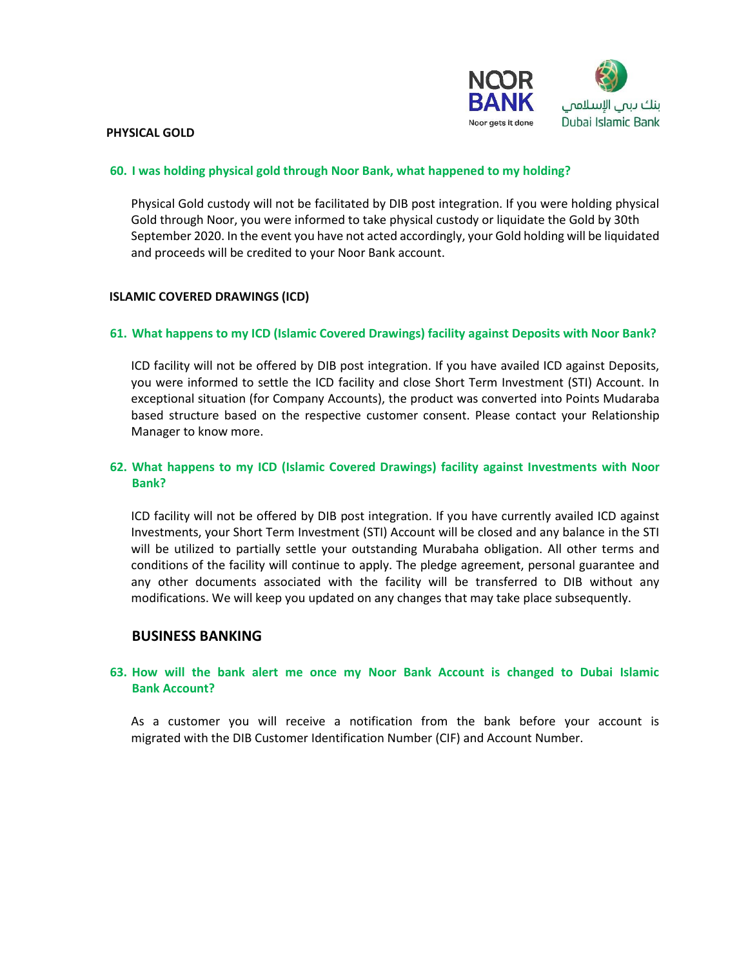

#### **PHYSICAL GOLD**

### **60. I was holding physical gold through Noor Bank, what happened to my holding?**

Physical Gold custody will not be facilitated by DIB post integration. If you were holding physical Gold through Noor, you were informed to take physical custody or liquidate the Gold by 30th September 2020. In the event you have not acted accordingly, your Gold holding will be liquidated and proceeds will be credited to your Noor Bank account.

### **ISLAMIC COVERED DRAWINGS (ICD)**

### **61. What happens to my ICD (Islamic Covered Drawings) facility against Deposits with Noor Bank?**

ICD facility will not be offered by DIB post integration. If you have availed ICD against Deposits, you were informed to settle the ICD facility and close Short Term Investment (STI) Account. In exceptional situation (for Company Accounts), the product was converted into Points Mudaraba based structure based on the respective customer consent. Please contact your Relationship Manager to know more.

# **62. What happens to my ICD (Islamic Covered Drawings) facility against Investments with Noor Bank?**

ICD facility will not be offered by DIB post integration. If you have currently availed ICD against Investments, your Short Term Investment (STI) Account will be closed and any balance in the STI will be utilized to partially settle your outstanding Murabaha obligation. All other terms and conditions of the facility will continue to apply. The pledge agreement, personal guarantee and any other documents associated with the facility will be transferred to DIB without any modifications. We will keep you updated on any changes that may take place subsequently.

# **BUSINESS BANKING**

# **63. How will the bank alert me once my Noor Bank Account is changed to Dubai Islamic Bank Account?**

As a customer you will receive a notification from the bank before your account is migrated with the DIB Customer Identification Number (CIF) and Account Number.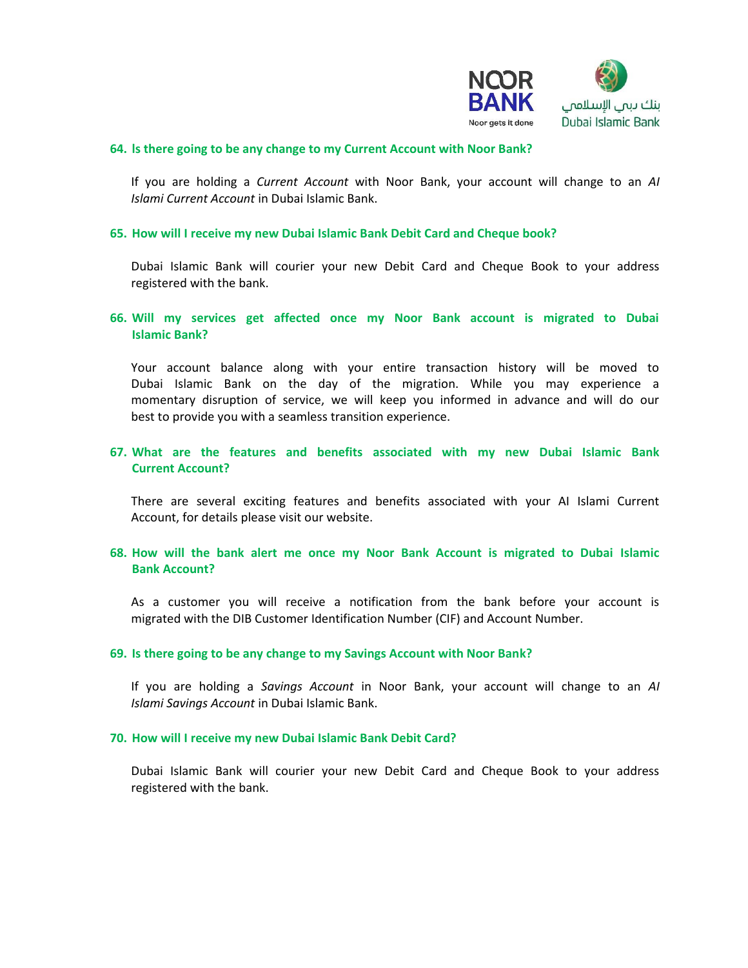

### **64. ls there going to be any change to my Current Account with Noor Bank?**

If you are holding a *Current Account* with Noor Bank, your account will change to an *AI Islami Current Account* in Dubai Islamic Bank.

#### **65. How will I receive my new Dubai Islamic Bank Debit Card and Cheque book?**

Dubai Islamic Bank will courier your new Debit Card and Cheque Book to your address registered with the bank.

### **66. Will my services get affected once my Noor Bank account is migrated to Dubai Islamic Bank?**

Your account balance along with your entire transaction history will be moved to Dubai Islamic Bank on the day of the migration. While you may experience a momentary disruption of service, we will keep you informed in advance and will do our best to provide you with a seamless transition experience.

# **67. What are the features and benefits associated with my new Dubai Islamic Bank Current Account?**

There are several exciting features and benefits associated with your AI Islami Current Account, for details please visit our website.

# **68. How will the bank alert me once my Noor Bank Account is migrated to Dubai Islamic Bank Account?**

As a customer you will receive a notification from the bank before your account is migrated with the DIB Customer Identification Number (CIF) and Account Number.

#### **69. Is there going to be any change to my Savings Account with Noor Bank?**

If you are holding a *Savings Account* in Noor Bank, your account will change to an *AI Islami Savings Account* in Dubai Islamic Bank.

#### **70. How will I receive my new Dubai Islamic Bank Debit Card?**

Dubai Islamic Bank will courier your new Debit Card and Cheque Book to your address registered with the bank.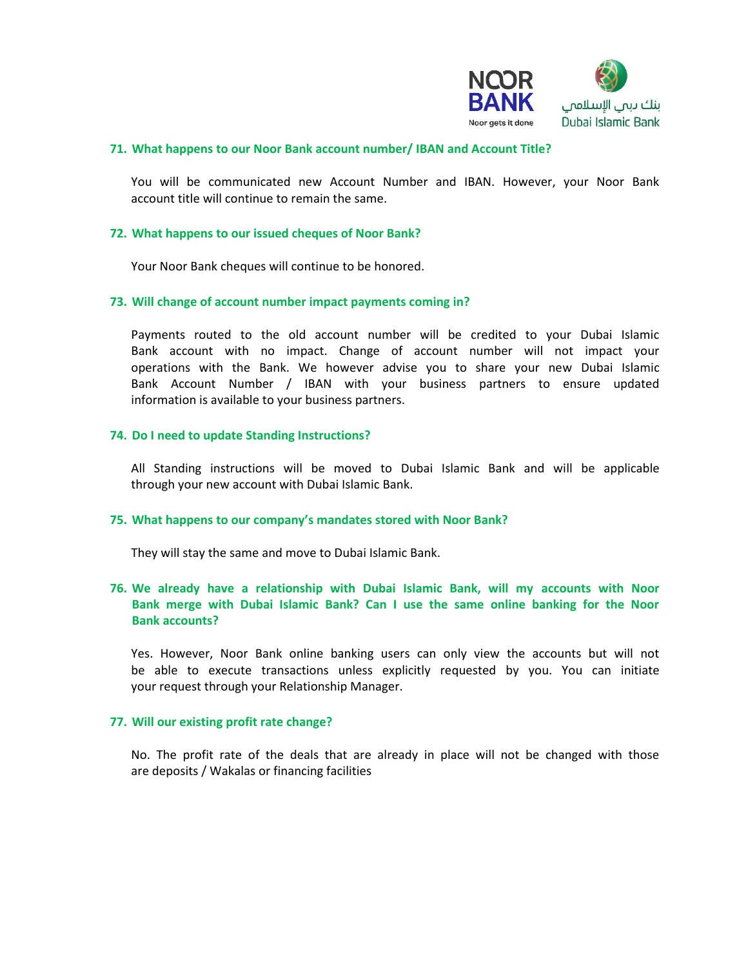

### **71. What happens to our Noor Bank account number/ IBAN and Account Title?**

You will be communicated new Account Number and IBAN. However, your Noor Bank account title will continue to remain the same.

### **72. What happens to our issued cheques of Noor Bank?**

Your Noor Bank cheques will continue to be honored.

### **73. Will change of account number impact payments coming in?**

Payments routed to the old account number will be credited to your Dubai Islamic Bank account with no impact. Change of account number will not impact your operations with the Bank. We however advise you to share your new Dubai Islamic Bank Account Number / IBAN with your business partners to ensure updated information is available to your business partners.

### **74. Do I need to update Standing Instructions?**

All Standing instructions will be moved to Dubai Islamic Bank and will be applicable through your new account with Dubai Islamic Bank.

### **75. What happens to our company's mandates stored with Noor Bank?**

They will stay the same and move to Dubai Islamic Bank.

# **76. We already have a relationship with Dubai Islamic Bank, will my accounts with Noor Bank merge with Dubai Islamic Bank? Can I use the same online banking for the Noor Bank accounts?**

Yes. However, Noor Bank online banking users can only view the accounts but will not be able to execute transactions unless explicitly requested by you. You can initiate your request through your Relationship Manager.

### **77. Will our existing profit rate change?**

No. The profit rate of the deals that are already in place will not be changed with those are deposits / Wakalas or financing facilities